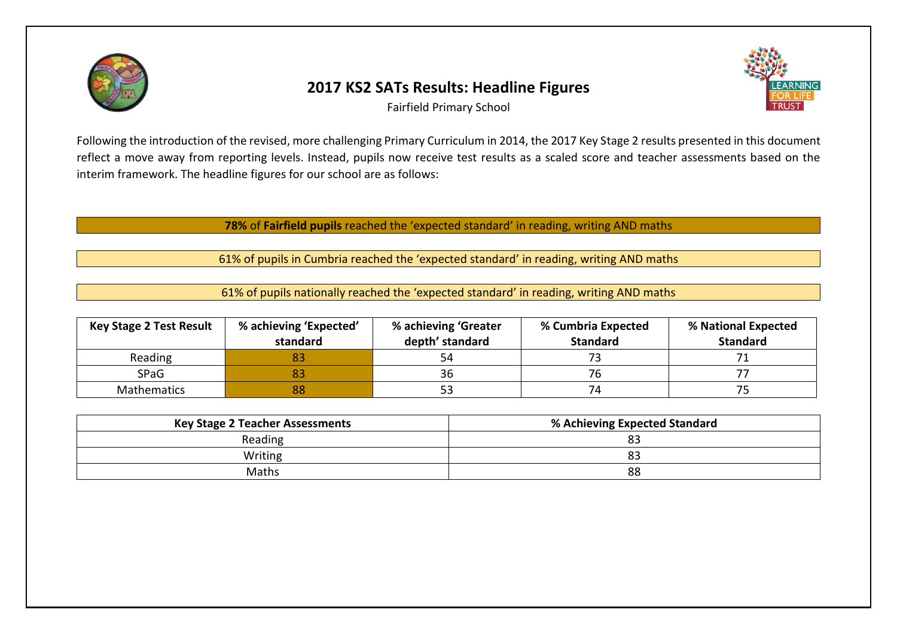

## **2017 KS2 SATs Results: Headline Figures**



Fairfield Primary School

Following the introduction of the revised, more challenging Primary Curriculum in 2014, the 2017 Key Stage 2 results presented in this document reflect a move away from reporting levels. Instead, pupils now receive test results as a scaled score and teacher assessments based on the interim framework. The headline figures for our school are as follows:

**78%** of **Fairfield pupils** reached the 'expected standard' in reading, writing AND maths

61% of pupils in Cumbria reached the 'expected standard' in reading, writing AND maths

61% of pupils nationally reached the 'expected standard' in reading, writing AND maths

| <b>Key Stage 2 Test Result</b> | % achieving 'Expected'<br>standard | % achieving 'Greater<br>depth' standard | % Cumbria Expected<br><b>Standard</b> | % National Expected<br><b>Standard</b> |
|--------------------------------|------------------------------------|-----------------------------------------|---------------------------------------|----------------------------------------|
| Reading                        |                                    | 54                                      |                                       |                                        |
| <b>SPaG</b>                    | 83                                 | 36                                      | 76                                    |                                        |
| Mathematics                    | 88                                 |                                         | 74                                    |                                        |

| <b>Key Stage 2 Teacher Assessments</b> | % Achieving Expected Standard |  |
|----------------------------------------|-------------------------------|--|
| Reading                                | 83                            |  |
| Writing                                | 83                            |  |
| Maths                                  | 88                            |  |